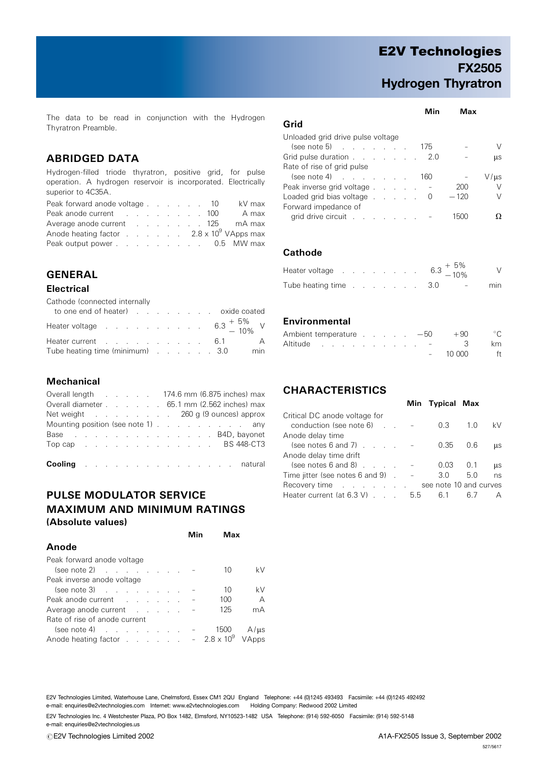## E2V Technologies FX2505 Hydrogen Thyratron

Min Max

The data to be read in conjunction with the Hydrogen Thyratron Preamble.

### ABRIDGED DATA

Hydrogen-filled triode thyratron, positive grid, for pulse operation. A hydrogen reservoir is incorporated. Electrically superior to 4C35A.

Peak forward anode voltage . . . . . . 10 kV max Peak anode current . . . . . . . . . 100 A max Average anode current . . . . . . . 125 mA max Anode heating factor . . . . . . 2.8 x 10<sup>9</sup> VApps max Peak output power . . . . . . . . . . 0.5 MW max

## GENERAL

#### **Electrical**

Cathode (connected internally

| to one end of heater) example and the coated coated to one end of heater |  |  |  |  |
|--------------------------------------------------------------------------|--|--|--|--|
| Heater voltage $\qquad \qquad$ 6.3 $^{+5\%}_{-10\%}$ V                   |  |  |  |  |
| Heater current 6.1 A                                                     |  |  |  |  |
| Tube heating time (minimum) 3.0 min                                      |  |  |  |  |

#### **Mechanical**

| Overall length 174.6 mm (6.875 inches) max         |  |  |  |  |  |  |  |  |
|----------------------------------------------------|--|--|--|--|--|--|--|--|
| Overall diameter 65.1 mm (2.562 inches) max        |  |  |  |  |  |  |  |  |
| Net weight 260 g (9 ounces) approx                 |  |  |  |  |  |  |  |  |
| Mounting position (see note 1) any                 |  |  |  |  |  |  |  |  |
| Base Base BAD, bayonet                             |  |  |  |  |  |  |  |  |
| Top cap reserve that is a series of the BS 448-CT3 |  |  |  |  |  |  |  |  |
|                                                    |  |  |  |  |  |  |  |  |
| Cooling natural                                    |  |  |  |  |  |  |  |  |

## PULSE MODULATOR SERVICE MAXIMUM AND MINIMUM RATINGS (Absolute values)

|                                                | Min | <b>Max</b> |                |
|------------------------------------------------|-----|------------|----------------|
| Anode                                          |     |            |                |
| Peak forward anode voltage                     |     |            |                |
| $(see note 2)$                                 |     | 10         | kV             |
| Peak inverse anode voltage                     |     |            |                |
| $(see note 3)$                                 |     | 10         | kV             |
| Peak anode current                             |     | 100        | $\overline{A}$ |
| Average anode current                          |     | 125        | mА             |
| Rate of rise of anode current                  |     |            |                |
|                                                |     | 1500       | $A/\mu s$      |
| Anode heating factor - $2.8 \times 10^9$ VApps |     |            |                |
|                                                |     |            |                |

#### $\sim$   $\sim$

| Grid                                       |  |     |        |      |
|--------------------------------------------|--|-----|--------|------|
| Unloaded grid drive pulse voltage          |  |     |        |      |
| $(see note 5)$                             |  | 175 |        |      |
| Grid pulse duration 2.0                    |  |     |        | μs   |
| Rate of rise of grid pulse                 |  |     |        |      |
| $(\text{see note 4})$                      |  | 160 |        | V/µs |
| Peak inverse grid voltage                  |  |     | 200    | V    |
| Loaded grid bias voltage $\ldots$ $\ldots$ |  |     | $-120$ | V    |
| Forward impedance of                       |  |     |        |      |
| grid drive circuit                         |  |     |        |      |

#### **Cathode**

| Heater voltage $\qquad \qquad \ldots \qquad \qquad \ldots \qquad \qquad 6.3 \; + \; 5\% \; -10\%$ |  |  |  |  |                          | $\vee$ |
|---------------------------------------------------------------------------------------------------|--|--|--|--|--------------------------|--------|
| Tube heating time 3.0                                                                             |  |  |  |  | the contract of the con- | min    |

#### **Environmental**

|  |  |  |  |  |        | Ambient temperature $\ldots$ $-50$ $+90$ | $^{\circ}$ C |
|--|--|--|--|--|--------|------------------------------------------|--------------|
|  |  |  |  |  |        | Altitude - 3                             | km           |
|  |  |  |  |  | $\sim$ |                                          | 10.000 ft    |

#### CHARACTERISTICS

|                                            |     | Min Typical Max        |      |    |
|--------------------------------------------|-----|------------------------|------|----|
| Critical DC anode voltage for              |     |                        |      |    |
| conduction (see note 6)<br>$\sim 10^{-11}$ |     | 0.3                    | 1(0) | kV |
| Anode delay time                           |     |                        |      |    |
| (see notes $6$ and $7$ ) $\ldots$ $\ldots$ |     | 0.35                   | 0.6  | μs |
| Anode delay time drift                     |     |                        |      |    |
| (see notes $6$ and $8$ ) $\ldots$          |     | 0.03                   | 0.1  | μs |
| Time jitter (see notes 6 and 9).           |     | 3.0                    | 5.0  | ns |
| Recovery time                              |     | see note 10 and curves |      |    |
| Heater current (at $6.3$ V) $\ldots$       | b.5 | 6.1                    |      |    |

E2V Technologies Limited, Waterhouse Lane, Chelmsford, Essex CM1 2QU England Telephone: +44 (0)1245 493493 Facsimile: +44 (0)1245 492492 e-mail: enquiries@e2vtechnologies.com Internet: www.e2vtechnologies.com Holding Company: Redwood 2002 Limited

E2V Technologies Inc. 4 Westchester Plaza, PO Box 1482, Elmsford, NY10523-1482 USA Telephone: (914) 592-6050 Facsimile: (914) 592-5148 e-mail: enquiries@e2vtechnologies.us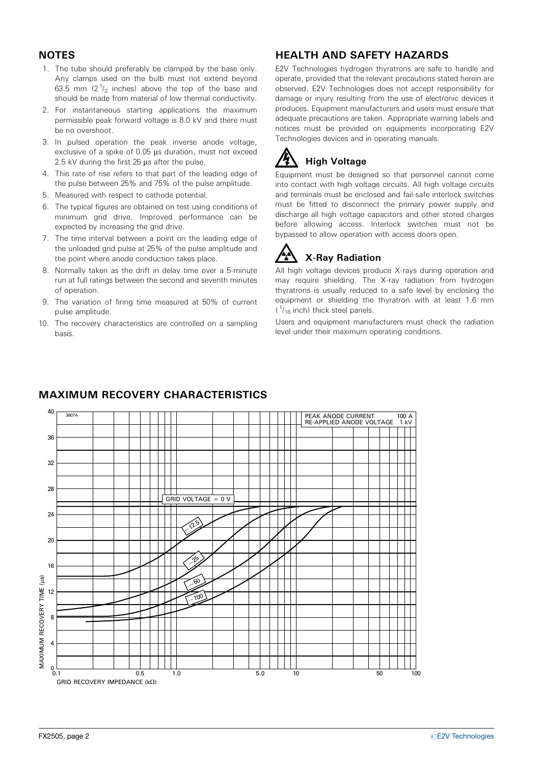## **NOTES**

- 1. The tube should preferably be clamped by the base only. Any clamps used on the bulb must not extend beyond 63.5 mm  $(2^1)_2$  inches) above the top of the base and should be made from material of low thermal conductivity.
- 2. For instantaneous starting applications the maximum permissible peak forward voltage is 8.0 kV and there must be no overshoot.
- 3. In pulsed operation the peak inverse anode voltage, exclusive of a spike of  $0.05$   $\mu$ s duration, must not exceed 2.5 kV during the first  $25 \mu s$  after the pulse.
- 4. This rate of rise refers to that part of the leading edge of the pulse between 25% and 75% of the pulse amplitude.
- 5. Measured with respect to cathode potential.
- 6. The typical figures are obtained on test using conditions of minimum grid drive. Improved performance can be expected by increasing the grid drive.
- 7. The time interval between a point on the leading edge of the unloaded grid pulse at 25% of the pulse amplitude and the point where anode conduction takes place.
- 8. Normally taken as the drift in delay time over a 5-minute run at full ratings between the second and seventh minutes of operation.
- 9. The variation of firing time measured at 50% of current pulse amplitude.
- 10. The recovery characteristics are controlled on a sampling basis.

## HEALTH AND SAFETY HAZARDS

E2V Technologies hydrogen thyratrons are safe to handle and operate, provided that the relevant precautions stated herein are observed. E2V Technologies does not accept responsibility for damage or injury resulting from the use of electronic devices it produces. Equipment manufacturers and users must ensure that adequate precautions are taken. Appropriate warning labels and notices must be provided on equipments incorporating E2V Technologies devices and in operating manuals.

# High Voltage

Equipment must be designed so that personnel cannot come into contact with high voltage circuits. All high voltage circuits and terminals must be enclosed and fail-safe interlock switches must be fitted to disconnect the primary power supply and discharge all high voltage capacitors and other stored charges before allowing access. Interlock switches must not be bypassed to allow operation with access doors open.

# X-Ray Radiation

All high voltage devices produce X-rays during operation and may require shielding. The X-ray radiation from hydrogen thyratrons is usually reduced to a safe level by enclosing the equipment or shielding the thyratron with at least 1.6 mm  $(1/16$  inch) thick steel panels.

Users and equipment manufacturers must check the radiation level under their maximum operating conditions.



## MAXIMUM RECOVERY CHARACTERISTICS